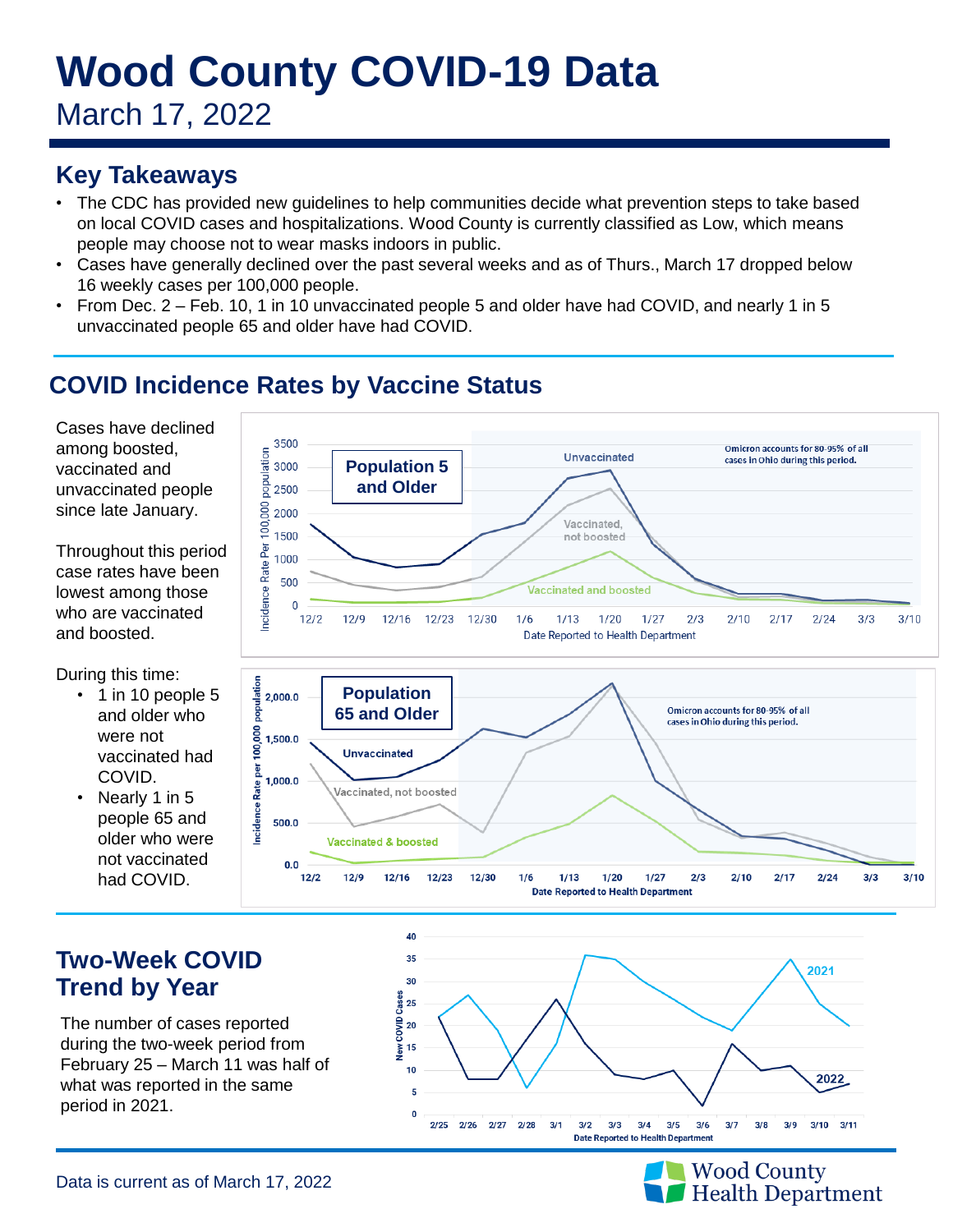# **Wood County COVID-19 Data**

March 17, 2022

## **Key Takeaways**

- The CDC has provided new guidelines to help communities decide what prevention steps to take based on local COVID cases and hospitalizations. Wood County is currently classified as Low, which means people may choose not to wear masks indoors in public.
- Cases have generally declined over the past several weeks and as of Thurs., March 17 dropped below 16 weekly cases per 100,000 people.
- From Dec. 2 Feb. 10, 1 in 10 unvaccinated people 5 and older have had COVID, and nearly 1 in 5 unvaccinated people 65 and older have had COVID.

# **COVID Incidence Rates by Vaccine Status**

 $0.0$  $12/2$ 

 $12/9$ 

12/16

12/23

12/30

 $1/6$ 

 $1/13$ 

 $1/20$ 

**Date Reported to Health Department** 

 $1/27$ 

 $2/3$ 

 $2/10$ 

 $2/17$ 

 $2/24$ 

 $3/3$ 

 $3/10$ 

Cases have declined among boosted, vaccinated and unvaccinated people since late January.

Throughout this period case rates have been lowest among those who are vaccinated and boosted.

During this time:

- 1 in 10 people 5 and older who were not vaccinated had COVID.
- Nearly 1 in 5 people 65 and older who were not vaccinated had COVID.



The number of cases reported during the two-week period from February 25 – March 11 was half of what was reported in the same period in 2021.







Data is current as of March 17, 2022